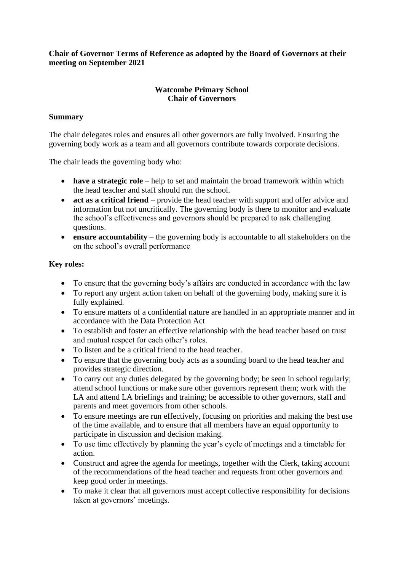## **Chair of Governor Terms of Reference as adopted by the Board of Governors at their meeting on September 2021**

## **Watcombe Primary School Chair of Governors**

## **Summary**

The chair delegates roles and ensures all other governors are fully involved. Ensuring the governing body work as a team and all governors contribute towards corporate decisions.

The chair leads the governing body who:

- **have a strategic role** help to set and maintain the broad framework within which the head teacher and staff should run the school.
- **act as a critical friend** provide the head teacher with support and offer advice and information but not uncritically. The governing body is there to monitor and evaluate the school's effectiveness and governors should be prepared to ask challenging questions.
- **ensure accountability** the governing body is accountable to all stakeholders on the on the school's overall performance

## **Key roles:**

- To ensure that the governing body's affairs are conducted in accordance with the law
- To report any urgent action taken on behalf of the governing body, making sure it is fully explained.
- To ensure matters of a confidential nature are handled in an appropriate manner and in accordance with the Data Protection Act
- To establish and foster an effective relationship with the head teacher based on trust and mutual respect for each other's roles.
- To listen and be a critical friend to the head teacher.
- To ensure that the governing body acts as a sounding board to the head teacher and provides strategic direction.
- To carry out any duties delegated by the governing body; be seen in school regularly; attend school functions or make sure other governors represent them; work with the LA and attend LA briefings and training; be accessible to other governors, staff and parents and meet governors from other schools.
- To ensure meetings are run effectively, focusing on priorities and making the best use of the time available, and to ensure that all members have an equal opportunity to participate in discussion and decision making.
- To use time effectively by planning the year's cycle of meetings and a timetable for action.
- Construct and agree the agenda for meetings, together with the Clerk, taking account of the recommendations of the head teacher and requests from other governors and keep good order in meetings.
- To make it clear that all governors must accept collective responsibility for decisions taken at governors' meetings.